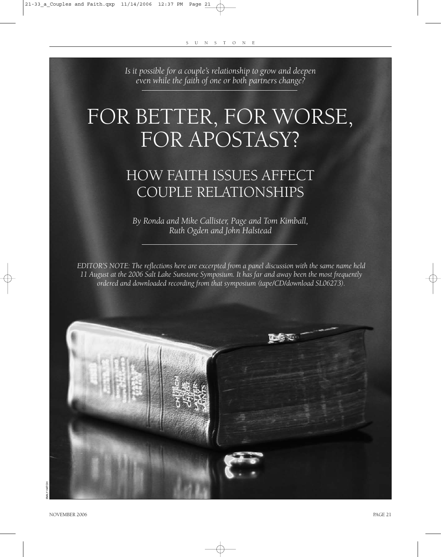*Is it possible for a couple's relationship to grow and deepen even while the faith of one or both partners change?*

# FOR BETTER, FOR WORSE, FOR APOSTASY?

# HOW FAITH ISSUES AFFECT COUPLE RELATIONSHIPS

*By Ronda and Mike Callister, Page and Tom Kimball, Ruth Ogden and John Halstead*

*EDITOR'S NOTE: The reflections here are excerpted from a panel discussion with the same name held 11 August at the 2006 Salt Lake Sunstone Symposium. It has far and away been the most frequently ordered and downloaded recording from that symposium (tape/CD/download SL06273).*

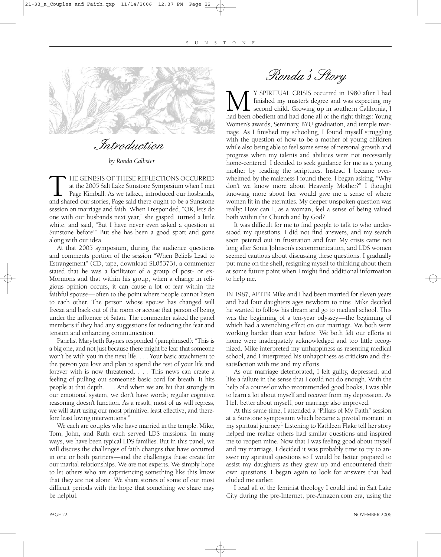

Introduction

*by Ronda Callister*

THE GENESIS OF THESE REFLECTIONS OCCURRED<br>at the 2005 Salt Lake Sunstone Symposium when I met<br>Page Kimball. As we talked, introduced our husbands,<br>and shared our stories, Page said there ought to be a Sunstone at the 2005 Salt Lake Sunstone Symposium when I met Page Kimball. As we talked, introduced our husbands, and shared our stories, Page said there ought to be a Sunstone session on marriage and faith. When I responded, "OK, let's do one with our husbands next year," she gasped, turned a little white, and said, "But I have never even asked a question at Sunstone before!" But she has been a good sport and gone along with our idea.

At that 2005 symposium, during the audience questions and comments portion of the session "When Beliefs Lead to Estrangement" (CD, tape, download SL05373), a commenter stated that he was a facilitator of a group of post- or ex-Mormons and that within his group, when a change in religious opinion occurs, it can cause a lot of fear within the faithful spouse—often to the point where people cannot listen to each other. The person whose spouse has changed will freeze and back out of the room or accuse that person of being under the influence of Satan. The commenter asked the panel members if they had any suggestions for reducing the fear and tension and enhancing communication.

Panelist Marybeth Raynes responded (paraphrased): "This is a big one, and not just because there might be fear that someone won't be with you in the next life. . . . Your basic attachment to the person you love and plan to spend the rest of your life and forever with is now threatened. . . . This news can create a feeling of pulling out someone's basic cord for breath. It hits people at that depth. . . . And when we are hit that strongly in our emotional system, we don't have words; regular cognitive reasoning doesn't function. As a result, most of us will regress, we will start using our most primitive, least effective, and therefore least loving interventions."

We each are couples who have married in the temple. Mike, Tom, John, and Ruth each served LDS missions. In many ways, we have been typical LDS families. But in this panel, we will discuss the challenges of faith changes that have occurred in one or both partners—and the challenges these create for our marital relationships. We are not experts. We simply hope to let others who are experiencing something like this know that they are not alone. We share stories of some of our most difficult periods with the hope that something we share may be helpful.

Ronda's Story

**M** <sup>Y</sup> SPIRITUAL CRISIS occurred in 1980 after I had finished my master's degree and was expecting my second child. Growing up in southern California, I had been obedient and had done all of the right things: Young finished my master's degree and was expecting my second child. Growing up in southern California, I Women's awards, Seminary, BYU graduation, and temple marriage. As I finished my schooling, I found myself struggling with the question of how to be a mother of young children while also being able to feel some sense of personal growth and progress when my talents and abilities were not necessarily home-centered. I decided to seek guidance for me as a young mother by reading the scriptures. Instead I became overwhelmed by the maleness I found there. I began asking, "Why don't we know more about Heavenly Mother?" I thought knowing more about her would give me a sense of where women fit in the eternities. My deeper unspoken question was really: How can I, as a woman, feel a sense of being valued both within the Church and by God?

It was difficult for me to find people to talk to who understood my questions. I did not find answers, and my search soon petered out in frustration and fear. My crisis came not long after Sonia Johnson's excommunication, and LDS women seemed cautious about discussing these questions. I gradually put mine on the shelf, resigning myself to thinking about them at some future point when I might find additional information to help me.

IN 1987, AFTER Mike and I had been married for eleven years and had four daughters ages newborn to nine, Mike decided he wanted to follow his dream and go to medical school. This was the beginning of a ten-year odyssey—the beginning of which had a wrenching effect on our marriage. We both were working harder than ever before. We both felt our efforts at home were inadequately acknowledged and too little recognized. Mike interpreted my unhappiness as resenting medical school, and I interpreted his unhappiness as criticism and dissatisfaction with me and my efforts.

As our marriage deteriorated, I felt guilty, depressed, and like a failure in the sense that I could not do enough. With the help of a counselor who recommended good books, I was able to learn a lot about myself and recover from my depression. As I felt better about myself, our marriage also improved.

At this same time, I attended a "Pillars of My Faith" session at a Sunstone symposium which became a pivotal moment in my spiritual journey.<sup>1</sup> Listening to Kathleen Flake tell her story helped me realize others had similar questions and inspired me to reopen mine. Now that I was feeling good about myself and my marriage, I decided it was probably time to try to answer my spiritual questions so I would be better prepared to assist my daughters as they grew up and encountered their own questions. I began again to look for answers that had eluded me earlier.

I read all of the feminist theology I could find in Salt Lake City during the pre-Internet, pre-Amazon.com era, using the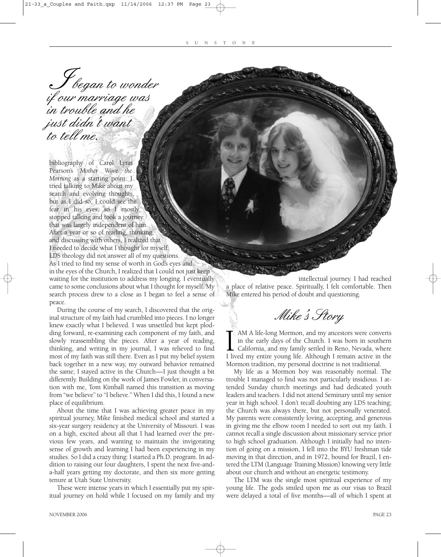**J** began to wonder<br>if our marriage was in trouble and he just didn't want to tell me. J<br>aux

bibliography of Carol Lynn Pearson's *Mother Wove the Morning* as a starting point. I tried talking to Mike about my search and evolving thoughts, but as I did so, I could see the fear in his eyes, so I mostly stopped talking and took a journey that was largely independent of him. After a year or so of reading, thinking, and discussing with others, I realized that I needed to decide what I thought for myself. LDS theology did not answer all of my questions. As I tried to find my sense of worth in God's eyes and in the eyes of the Church, I realized that I could not just keep waiting for the institution to address my longing. I eventually came to some conclusions about what I thought for myself. My search process drew to a close as I began to feel a sense of peace.

During the course of my search, I discovered that the original structure of my faith had crumbled into pieces. I no longer knew exactly what I believed. I was unsettled but kept plodding forward, re-examining each component of my faith, and slowly reassembling the pieces. After a year of reading, thinking, and writing in my journal, I was relieved to find most of my faith was still there. Even as I put my belief system back together in a new way, my outward behavior remained the same; I stayed active in the Church—I just thought a bit differently. Building on the work of James Fowler, in conversation with me, Tom Kimball named this transition as moving from "we believe" to "I believe." When I did this, I found a new place of equilibrium.

About the time that I was achieving greater peace in my spiritual journey, Mike finished medical school and started a six-year surgery residency at the University of Missouri. I was on a high, excited about all that I had learned over the previous few years, and wanting to maintain the invigorating sense of growth and learning I had been experiencing in my studies. So I did a crazy thing: I started a Ph.D. program. In addition to raising our four daughters, I spent the next five-anda-half years getting my doctorate, and then six more getting tenure at Utah State University.

These were intense years in which I essentially put my spiritual journey on hold while I focused on my family and my

intellectual journey. I had reached a place of relative peace. Spiritually, I felt comfortable. Then Mike entered his period of doubt and questioning.

Mike's Story

I AM A life-long Mormon, and my ancestors were converts in the early days of the Church. I was born in southern California, and my family settled in Reno, Nevada, where I lived my entire young life. Although I remain activ AM A life-long Mormon, and my ancestors were converts in the early days of the Church. I was born in southern  $\blacktriangle$  California, and my family settled in Reno, Nevada, where Mormon tradition, my personal doctrine is not traditional.

My life as a Mormon boy was reasonably normal. The trouble I managed to find was not particularly insidious. I attended Sunday church meetings and had dedicated youth leaders and teachers. I did not attend Seminary until my senior year in high school. I don't recall doubting any LDS teaching; the Church was always there, but not personally venerated. My parents were consistently loving, accepting, and generous in giving me the elbow room I needed to sort out my faith. I cannot recall a single discussion about missionary service prior to high school graduation. Although I initially had no intention of going on a mission, I fell into the BYU freshman tide moving in that direction, and in 1972, bound for Brazil, I entered the LTM (Language Training Mission) knowing very little about our church and without an energetic testimony.

The LTM was the single most spiritual experience of my young life. The gods smiled upon me as our visas to Brazil were delayed a total of five months—all of which I spent at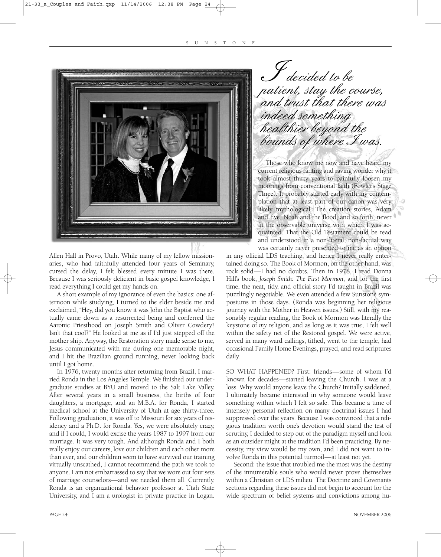

Allen Hall in Provo, Utah. While many of my fellow missionaries, who had faithfully attended four years of Seminary, cursed the delay, I felt blessed every minute I was there. Because I was seriously deficient in basic gospel knowledge, I read everything I could get my hands on.

A short example of my ignorance of even the basics: one afternoon while studying, I turned to the elder beside me and exclaimed, "Hey, did you know it was John the Baptist who actually came down as a resurrected being and conferred the Aaronic Priesthood on Joseph Smith and Oliver Cowdery? Isn't that cool?" He looked at me as if I'd just stepped off the mother ship. Anyway, the Restoration story made sense to me, Jesus communicated with me during one memorable night, and I hit the Brazilian ground running, never looking back until I got home.

In 1976, twenty months after returning from Brazil, I married Ronda in the Los Angeles Temple. We finished our undergraduate studies at BYU and moved to the Salt Lake Valley. After several years in a small business, the births of four daughters, a mortgage, and an M.B.A. for Ronda, I started medical school at the University of Utah at age thirty-three. Following graduation, it was off to Missouri for six years of residency and a Ph.D. for Ronda. Yes, we were absolutely crazy, and if I could, I would excise the years 1987 to 1997 from our marriage. It was very tough. And although Ronda and I both really enjoy our careers, love our children and each other more than ever, and our children seem to have survived our training virtually unscathed, I cannot recommend the path we took to anyone. I am not embarrassed to say that we wore out four sets of marriage counselors—and we needed them all. Currently, Ronda is an organizational behavior professor at Utah State University, and I am a urologist in private practice in Logan.

decided to be patient, stay the course, and trust that there was indeed something healthier beyond the bounds of where I was. J<br>atio

Those who know me now and have heard my current religious ranting and raving wonder why it took almost thirty years to painfully loosen my moorings from conventional faith (Fowler's Stage Three). It probably started early with my contemplation that at least part of our canon was very likely mythological. The creation stories, Adam and Eve, Noah and the flood, and so forth, never fit the observable universe with which I was acquainted. That the Old Testament could be read and understood in a non-literal, non-factual way was certainly never presented to me as an option

in any official LDS teaching, and hence I never really entertained doing so. The Book of Mormon, on the other hand, was rock solid—I had no doubts. Then in 1978, I read Donna Hill's book, *Joseph Smith: The First Mormon*, and for the first time, the neat, tidy, and official story I'd taught in Brazil was puzzlingly negotiable. We even attended a few Sunstone symposiums in those days. (Ronda was beginning her religious journey with the Mother in Heaven issues.) Still, with my reasonably regular reading, the Book of Mormon was literally the keystone of *my* religion, and as long as it was true, I felt well within the safety net of the Restored gospel. We were active, served in many ward callings, tithed, went to the temple, had occasional Family Home Evenings, prayed, and read scriptures daily.

SO WHAT HAPPENED? First: friends—some of whom I'd known for decades—started leaving the Church. I was at a loss. Why would anyone leave the Church? Initially saddened, I ultimately became interested in why someone would leave something within which I felt so safe. This became a time of intensely personal reflection on many doctrinal issues I had suppressed over the years. Because I was convinced that a religious tradition worth one's devotion would stand the test of scrutiny, I decided to step out of the paradigm myself and look as an outsider might at the tradition I'd been practicing. By necessity, my view would be my own, and I did not want to involve Ronda in this potential turmoil—at least not yet.

Second: the issue that troubled me the most was the destiny of the innumerable souls who would never prove themselves within a Christian or LDS milieu. The Doctrine and Covenants sections regarding these issues did not begin to account for the wide spectrum of belief systems and convictions among hu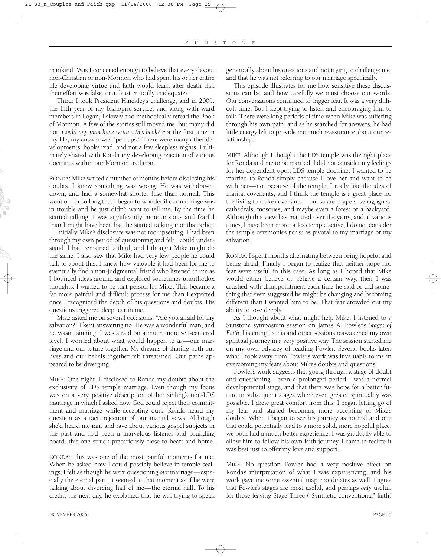mankind. Was I conceited enough to believe that every devout non-Christian or non-Mormon who had spent his or her entire life developing virtue and faith would learn after death that their effort was false, or at least critically inadequate?

Third: I took President Hinckley's challenge, and in 2005, the fifth year of my bishopric service, and along with ward members in Logan, I slowly and methodically reread the Book of Mormon. A few of the stories still moved me, but many did not. *Could any man have written this book?* For the first time in my life, my answer was "perhaps." There were many other developments, books read, and not a few sleepless nights. I ultimately shared with Ronda my developing rejection of various doctrines within our Mormon tradition.

RONDA: Mike waited a number of months before disclosing his doubts. I knew something was wrong. He was withdrawn, down, and had a somewhat shorter fuse than normal. This went on for so long that I began to wonder if our marriage was in trouble and he just didn't want to tell me. By the time he started talking, I was significantly more anxious and fearful than I might have been had he started talking months earlier.

Initially Mike's disclosure was not too upsetting. I had been through my own period of questioning and felt I could understand. I had remained faithful, and I thought Mike might do the same. I also saw that Mike had very few people he could talk to about this. I knew how valuable it had been for me to eventually find a non-judgmental friend who listened to me as I bounced ideas around and explored sometimes unorthodox thoughts. I wanted to be that person for Mike. This became a far more painful and difficult process for me than I expected once I recognized the depth of his questions and doubts. His questions triggered deep fear in me.

Mike asked me on several occasions, "Are you afraid for my salvation?" I kept answering no. He was a wonderful man, and he wasn't sinning. I was afraid on a much more self-centered level. I worried about what would happen to *us*—our marriage and our future together. My dreams of sharing both our lives and our beliefs together felt threatened. Our paths appeared to be diverging.

MIKE: One night, I disclosed to Ronda my doubts about the exclusivity of LDS temple marriage. Even though my focus was on a very positive description of her sibling's non-LDS marriage in which I asked how God could reject their commitment and marriage while accepting ours, Ronda heard my question as a tacit rejection of our marital vows. Although she'd heard me rant and rave about various gospel subjects in the past and had been a marvelous listener and sounding board, this one struck precariously close to heart and home.

RONDA: This was one of the most painful moments for me. When he asked how I could possibly believe in temple sealings, I felt as though he were questioning *our* marriage—especially the eternal part. It seemed at that moment as if he were talking about divorcing half of me—the eternal half. To his credit, the next day, he explained that he was trying to speak

generically about his questions and not trying to challenge me, and that he was not referring to our marriage specifically.

This episode illustrates for me how sensitive these discussions can be, and how carefully we must choose our words. Our conversations continued to trigger fear. It was a very difficult time. But I kept trying to listen and encouraging him to talk. There were long periods of time when Mike was suffering through his own pain, and as he searched for answers, he had little energy left to provide me much reassurance about our relationship.

MIKE: Although I thought the LDS temple was the right place for Ronda and me to be married, I did not consider my feelings for her dependent upon LDS temple doctrine. I wanted to be married to Ronda simply because I love her and want to be with her—not because of the temple. I really like the idea of marital covenants, and I think the temple is a great place for the living to make covenants—but so are chapels, synagogues, cathedrals, mosques, and maybe even a forest or a backyard. Although this view has matured over the years, and at various times, I have been more or less temple active, I do not consider the temple ceremonies *per se* as pivotal to my marriage or my salvation.

RONDA: I spent months alternating between being hopeful and being afraid. Finally I began to realize that neither hope nor fear were useful in this case. As long as I hoped that Mike would either believe or behave a certain way, then I was crushed with disappointment each time he said or did something that even suggested he might be changing and becoming different than I wanted him to be. That fear crowded out my ability to love deeply.

As I thought about what might help Mike, I listened to a Sunstone symposium session on James A. Fowler's *Stages of Faith*. Listening to this and other sessions reawakened my own spiritual journey in a very positive way. The session started me on my own odyssey of reading Fowler. Several books later, what I took away from Fowler's work was invaluable to me in overcoming my fears about Mike's doubts and questions.

Fowler's work suggests that going through a stage of doubt and questioning—even a prolonged period—was a normal developmental stage, and that there was hope for a better future in subsequent stages where even greater spirituality was possible. I drew great comfort from this. I began letting go of my fear and started becoming more accepting of Mike's doubts. When I began to see his journey as normal and one that could potentially lead to a more solid, more hopeful place, we both had a much better experience. I was gradually able to allow him to follow his own faith journey. I came to realize it was best just to offer my love and support.

MIKE: No question Fowler had a very positive effect on Ronda's interpretation of what I was experiencing, and his work gave me some essential map coordinates as well. I agree that Fowler's stages are most useful, and perhaps *only* useful, for those leaving Stage Three ("Synthetic-conventional" faith)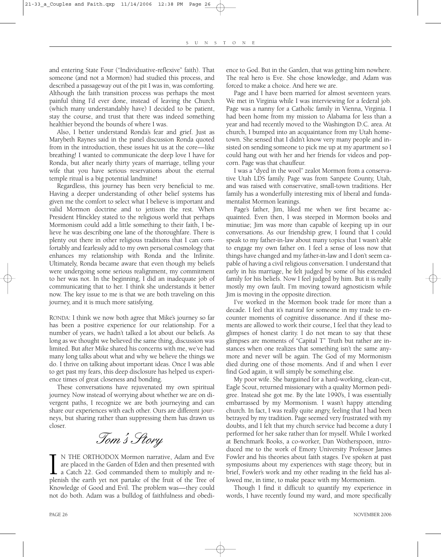and entering State Four ("Individuative-reflexive" faith). That someone (and not a Mormon) had studied this process, and described a passageway out of the pit I was in, was comforting. Although the faith transition process was perhaps the most painful thing I'd ever done, instead of leaving the Church (which many understandably have) I decided to be patient, stay the course, and trust that there was indeed something healthier beyond the bounds of where I was.

Also, I better understand Ronda's fear and grief. Just as Marybeth Raynes said in the panel discussion Ronda quoted from in the introduction, these issues hit us at the core—like breathing! I wanted to communicate the deep love I have for Ronda, but after nearly thirty years of marriage, telling your wife that you have serious reservations about the eternal temple ritual is a big potential landmine!

Regardless, this journey has been very beneficial to me. Having a deeper understanding of other belief systems has given me the comfort to select what I believe is important and valid Mormon doctrine and to jettison the rest. When President Hinckley stated to the religious world that perhaps Mormonism could add a little something to their faith, I believe he was describing one lane of the thoroughfare. There is plenty out there in other religious traditions that I can comfortably and fearlessly add to my own personal cosmology that enhances my relationship with Ronda and the Infinite. Ultimately, Ronda became aware that even though my beliefs were undergoing some serious realignment, my commitment to her was not. In the beginning, I did an inadequate job of communicating that to her. I think she understands it better now. The key issue to me is that we are both traveling on this journey, and it is much more satisfying.

RONDA: I think we now both agree that Mike's journey so far has been a positive experience for our relationship. For a number of years, we hadn't talked a lot about our beliefs. As long as we thought we believed the same thing, discussion was limited. But after Mike shared his concerns with me, we've had many long talks about what and why we believe the things we do. I thrive on talking about important ideas. Once I was able to get past my fears, this deep disclosure has helped us experience times of great closeness and bonding.

These conversations have rejuvenated my own spiritual journey. Now instead of worrying about whether we are on divergent paths, I recognize we are both journeying and can share our experiences with each other. Ours are different journeys, but sharing rather than suppressing them has drawn us closer.

Tom's Story

IN THE ORTHODOX Mormon narrative, Adam and Eve are placed in the Garden of Eden and then presented with a Catch 22. God commanded them to multiply and replenish the earth yet not partake of the fruit of the Tree of N THE ORTHODOX Mormon narrative, Adam and Eve are placed in the Garden of Eden and then presented with a Catch 22. God commanded them to multiply and re-Knowledge of Good and Evil. The problem was—they could not do both. Adam was a bulldog of faithfulness and obedience to God. But in the Garden, that was getting him nowhere. The real hero is Eve. She chose knowledge, and Adam was forced to make a choice. And here we are.

Page and I have been married for almost seventeen years. We met in Virginia while I was interviewing for a federal job. Page was a nanny for a Catholic family in Vienna, Virginia. I had been home from my mission to Alabama for less than a year and had recently moved to the Washington D.C. area. At church, I bumped into an acquaintance from my Utah hometown. She sensed that I didn't know very many people and insisted on sending someone to pick me up at my apartment so I could hang out with her and her friends for videos and popcorn. Page was that chauffeur.

I was a "dyed in the wool" zealot Mormon from a conservative Utah LDS family. Page was from Sanpete County, Utah, and was raised with conservative, small-town traditions. Her family has a wonderfully interesting mix of liberal and fundamentalist Mormon leanings.

Page's father, Jim, liked me when we first became acquainted. Even then, I was steeped in Mormon books and minutiae; Jim was more than capable of keeping up in our conversations. As our friendship grew, I found that I could speak to my father-in-law about many topics that I wasn't able to engage my own father on. I feel a sense of loss now that things have changed and my father-in-law and I don't seem capable of having a civil religious conversation. I understand that early in his marriage, he felt judged by some of his extended family for his beliefs. Now I feel judged by him. But it is really mostly my own fault. I'm moving toward agnosticism while Jim is moving in the opposite direction.

I've worked in the Mormon book trade for more than a decade. I feel that it's natural for someone in my trade to encounter moments of cognitive dissonance. And if these moments are allowed to work their course, I feel that they lead to glimpses of honest clarity. I do not mean to say that these glimpses are moments of "Capital T" Truth but rather are instances when one realizes that something isn't the same anymore and never will be again. The God of my Mormonism died during one of those moments. And if and when I ever find God again, it will simply be something else.

My poor wife. She bargained for a hard-working, clean-cut, Eagle Scout, returned missionary with a quality Mormon pedigree. Instead she got me. By the late 1990's, I was essentially embarrassed by my Mormonism. I wasn't happy attending church. In fact, I was really quite angry, feeling that I had been betrayed by my tradition. Page seemed very frustrated with my doubts, and I felt that my church service had become a duty I performed for her sake rather than for myself. While I worked at Benchmark Books, a co-worker, Dan Wotherspoon, introduced me to the work of Emory University Professor James Fowler and his theories about faith stages. I've spoken at past symposiums about my experiences with stage theory, but in brief, Fowler's work and my other reading in the field has allowed me, in time, to make peace with my Mormonism.

Though I find it difficult to quantify my experience in words, I have recently found my ward, and more specifically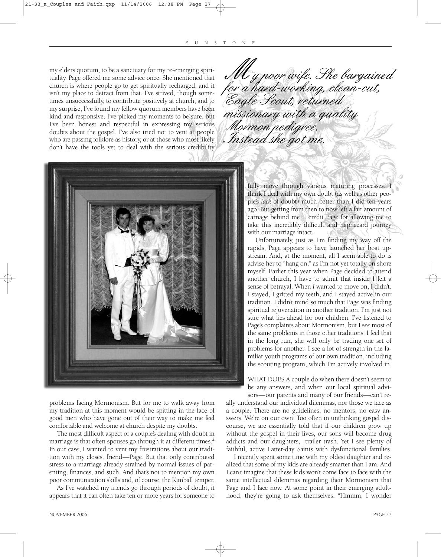my elders quorum, to be a sanctuary for my re-emerging spirituality. Page offered me some advice once. She mentioned that church is where people go to get spiritually recharged, and it isn't my place to detract from that. I've strived, though sometimes unsuccessfully, to contribute positively at church, and to my surprise, I've found my fellow quorum members have been kind and responsive. I've picked my moments to be sure, but I've been honest and respectful in expressing my serious doubts about the gospel. I've also tried not to vent at people who are passing folklore as history, or at those who most likely don't have the tools yet to deal with the serious credibility





problems facing Mormonism. But for me to walk away from my tradition at this moment would be spitting in the face of good men who have gone out of their way to make me feel comfortable and welcome at church despite my doubts.

The most difficult aspect of a couple's dealing with doubt in marriage is that often spouses go through it at different times. $<sup>2</sup>$ </sup> In our case, I wanted to vent my frustrations about our tradition with my closest friend—Page. But that only contributed stress to a marriage already strained by normal issues of parenting, finances, and such. And that's not to mention my own poor communication skills and, of course, the Kimball temper.

As I've watched my friends go through periods of doubt, it appears that it can often take ten or more years for someone to fully move through various maturing processes. I think I deal with my own doubt (as well as other people's *lack* of doubt) much better than I did ten years ago. But getting from then to now left a fair amount of carnage behind me. I credit Page for allowing me to take this incredibly difficult and haphazard journey with our marriage intact.

Unfortunately, just as I'm finding my way off the rapids, Page appears to have launched her boat upstream. And, at the moment, all I seem able to do is advise her to "hang on," as I'm not yet totally on shore myself. Earlier this year when Page decided to attend another church, I have to admit that inside I felt a sense of betrayal. When *I* wanted to move on, I didn't. I stayed, I gritted my teeth, and I stayed active in our tradition. I didn't mind so much that Page was finding spiritual rejuvenation in another tradition. I'm just not sure what lies ahead for our children. I've listened to Page's complaints about Mormonism, but I see most of the same problems in those other traditions. I feel that in the long run, she will only be trading one set of problems for another. I see a lot of strength in the familiar youth programs of our own tradition, including the scouting program, which I'm actively involved in.

WHAT DOES A couple do when there doesn't seem to be any answers, and when our local spiritual advisors—our parents and many of our friends—can't re-

ally understand our individual dilemmas, nor those we face as a couple. There are no guidelines, no mentors, no easy answers. We're on our own. Too often in unthinking gospel discourse, we are essentially told that if our children grow up without the gospel in their lives, our sons will become drug addicts and our daughters, trailer trash. Yet I see plenty of faithful, active Latter-day Saints with dysfunctional families.

I recently spent some time with my oldest daughter and realized that some of my kids are already smarter than I am. And I can't imagine that these kids won't come face to face with the same intellectual dilemmas regarding their Mormonism that Page and I face now. At some point in their emerging adulthood, they're going to ask themselves, "Hmmm, I wonder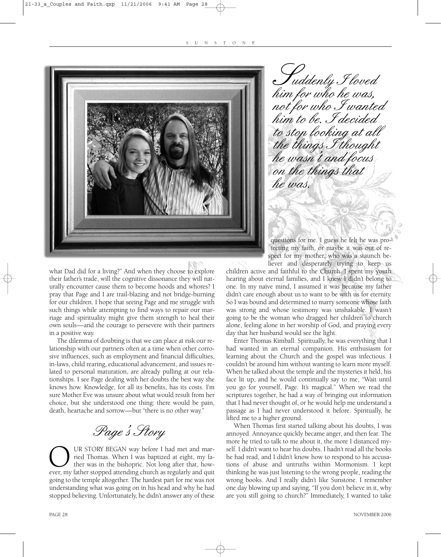![](_page_7_Picture_1.jpeg)

what Dad did for a living?" And when they choose to explore their father's trade, will the cognitive dissonance they will naturally encounter cause them to become hoods and whores? I pray that Page and I are trail-blazing and not bridge-burning for our children. I hope that seeing Page and me struggle with such things while attempting to find ways to repair our marriage and spirituality might give them strength to heal their own souls—and the courage to persevere with their partners in a positive way.

The dilemma of doubting is that we can place at risk our relationship with our partners often at a time when other corrosive influences, such as employment and financial difficulties, in-laws, child rearing, educational advancement, and issues related to personal maturation, are already pulling at our relationships. I see Page dealing with her doubts the best way she knows how. Knowledge, for all its benefits, has its costs. I'm sure Mother Eve was unsure about what would result from her choice, but she understood one thing: there would be pain, death, heartache and sorrow—but "there is no other way."

Page's Story

OUR STORY BEGAN way before I had met and mar-<br>ried Thomas. When I was baptized at eight, my fa-<br>ther was in the bishopric. Not long after that, how-<br>ever, my father stopped attending church as regularly and quit ried Thomas. When I was baptized at eight, my father was in the bishopric. Not long after that, howgoing to the temple altogether. The hardest part for me was not understanding what was going on in his head and why he had stopped believing. Unfortunately, he didn't answer any of these

**T**uddenly I loved<br>him for who he was, not for who I wanted him to be. I decided to stop looking at all the things I thought he wasn't and focus on the things that he was. Huddenly Floved

questions for me. I guess he felt he was protecting my faith, or maybe it was out of respect for my mother, who was a staunch believer and desperately trying to keep us

children active and faithful to the Church. I spent my youth hearing about eternal families, and I knew I didn't belong to one. In my naïve mind, I assumed it was because my father didn't care enough about us to want to be with us for eternity. So I was bound and determined to marry someone whose faith was strong and whose testimony was unshakable. I wasn't going to be the woman who dragged her children to church alone, feeling alone in her worship of God, and praying every day that her husband would see the light.

Enter Thomas Kimball. Spiritually, he was everything that I had wanted in an eternal companion. His enthusiasm for learning about the Church and the gospel was infectious. I couldn't be around him without wanting to learn more myself. When he talked about the temple and the mysteries it held, his face lit up, and he would continually say to me, "Wait until you go for yourself, Page. It's magical." When we read the scriptures together, he had a way of bringing out information that I had never thought of, or he would help me understand a passage as I had never understood it before. Spiritually, he lifted me to a higher ground.

When Thomas first started talking about his doubts, I was annoyed. Annoyance quickly became anger, and then fear. The more he tried to talk to me about it, the more I distanced myself. I didn't want to hear his doubts. I hadn't read all the books he had read, and I didn't know how to respond to his accusations of abuse and untruths within Mormonism. I kept thinking he was just listening to the wrong people, reading the wrong books. And I really didn't like Sunstone. I remember one day blowing up and saying, "If you don't believe in it, why are you still going to church?" Immediately, I wanted to take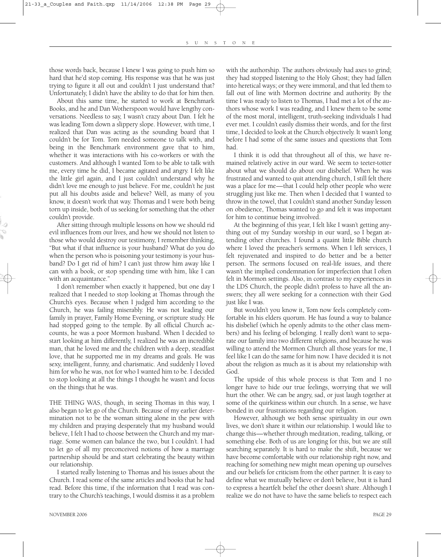those words back, because I knew I was going to push him so hard that he'd stop coming. His response was that he was just trying to figure it all out and couldn't I just understand that? Unfortunately, I didn't have the ability to do that for him then.

About this same time, he started to work at Benchmark Books, and he and Dan Wotherspoon would have lengthy conversations. Needless to say, I wasn't crazy about Dan. I felt he was leading Tom down a slippery slope. However, with time, I realized that Dan was acting as the sounding board that I couldn't be for Tom. Tom needed someone to talk with, and being in the Benchmark environment gave that to him, whether it was interactions with his co-workers or with the customers. And although I wanted Tom to be able to talk with me, every time he did, I became agitated and angry. I felt like the little girl again, and I just couldn't understand why he didn't love me enough to just believe. For me, couldn't he just put all his doubts aside and believe? Well, as many of you know, it doesn't work that way. Thomas and I were both being torn up inside, both of us seeking for something that the other couldn't provide.

After sitting through multiple lessons on how we should rid evil influences from our lives, and how we should not listen to those who would destroy our testimony, I remember thinking, "But what if that influence is your husband? What do you do when the person who is poisoning your testimony is your husband? Do I get rid of him? I can't just throw him away like I can with a book, or stop spending time with him, like I can with an acquaintance."

I don't remember when exactly it happened, but one day I realized that I needed to stop looking at Thomas through the Church's eyes. Because when I judged him according to the Church, he was failing miserably. He was not leading our family in prayer, Family Home Evening, or scripture study. He had stopped going to the temple. By all official Church accounts, he was a poor Mormon husband. When I decided to start looking at him differently, I realized he was an incredible man, that he loved me and the children with a deep, steadfast love, that he supported me in my dreams and goals. He was sexy, intelligent, funny, and charismatic. And suddenly I loved him for who he was, not for who I wanted him to be. I decided to stop looking at all the things I thought he wasn't and focus on the things that he was.

THE THING WAS, though, in seeing Thomas in this way, I also began to let go of the Church. Because of my earlier determination not to be the woman sitting alone in the pew with my children and praying desperately that my husband would believe, I felt I had to choose between the Church and my marriage. Some women can balance the two, but I couldn't. I had to let go of all my preconceived notions of how a marriage partnership should be and start celebrating the beauty within our relationship.

I started really listening to Thomas and his issues about the Church. I read some of the same articles and books that he had read. Before this time, if the information that I read was contrary to the Church's teachings, I would dismiss it as a problem with the authorship. The authors obviously had axes to grind; they had stopped listening to the Holy Ghost; they had fallen into heretical ways; or they were immoral, and that led them to fall out of line with Mormon doctrine and authority. By the time I was ready to listen to Thomas, I had met a lot of the authors whose work I was reading, and I knew them to be some of the most moral, intelligent, truth-seeking individuals I had ever met. I couldn't easily dismiss their words, and for the first time, I decided to look at the Church objectively. It wasn't long before I had some of the same issues and questions that Tom had.

I think it is odd that throughout all of this, we have remained relatively active in our ward. We seem to teeter-totter about what we should do about our disbelief. When he was frustrated and wanted to quit attending church, I still felt there was a place for me—that I could help other people who were struggling just like me. Then when I decided that I wanted to throw in the towel, that I couldn't stand another Sunday lesson on obedience, Thomas wanted to go and felt it was important for him to continue being involved.

At the beginning of this year, I felt like I wasn't getting anything out of my Sunday worship in our ward, so I began attending other churches. I found a quaint little Bible church where I loved the preacher's sermons. When I left services, I felt rejuvenated and inspired to do better and be a better person. The sermons focused on real-life issues, and there wasn't the implied condemnation for imperfection that I often felt in Mormon settings. Also, in contrast to my experiences in the LDS Church, the people didn't profess to have all the answers; they all were seeking for a connection with their God just like I was.

But wouldn't you know it, Tom now feels completely comfortable in his elders quorum. He has found a way to balance his disbelief (which he openly admits to the other class members) and his feeling of belonging. I really don't want to separate our family into two different religions, and because he was willing to attend the Mormon Church all those years for me, I feel like I can do the same for him now. I have decided it is not about the religion as much as it is about my relationship with God.

The upside of this whole process is that Tom and I no longer have to hide our true feelings, worrying that we will hurt the other. We can be angry, sad, or just laugh together at some of the quirkiness within our church. In a sense, we have bonded in our frustrations regarding our religion.

However, although we both sense spirituality in our own lives, we don't share it within our relationship. I would like to change this—whether through meditation, reading, talking, or something else. Both of us are longing for this, but we are still searching separately. It is hard to make the shift, because we have become comfortable with our relationship right now, and reaching for something new might mean opening up ourselves and our beliefs for criticism from the other partner. It is easy to define what we mutually believe or don't believe, but it is hard to express a heartfelt belief the other doesn't share. Although I realize we do not have to have the same beliefs to respect each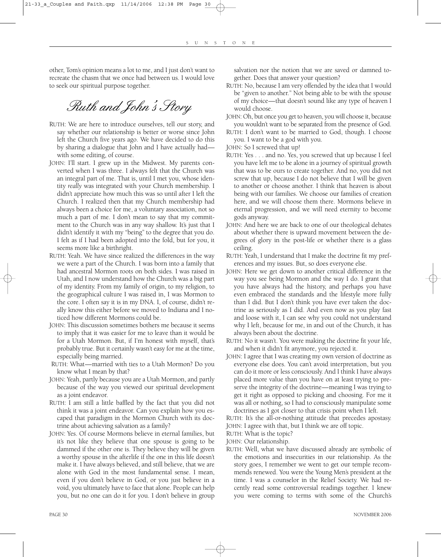other, Tom's opinion means a lot to me, and I just don't want to recreate the chasm that we once had between us. I would love to seek our spiritual purpose together.

Ruth and John's Story

- RUTH: We are here to introduce ourselves, tell our story, and say whether our relationship is better or worse since John left the Church five years ago. We have decided to do this by sharing a dialogue that John and I have actually had with some editing, of course.
- JOHN: I'll start. I grew up in the Midwest. My parents converted when I was three. I always felt that the Church was an integral part of me. That is, until I met you, whose identity *really* was integrated with your Church membership. I didn't appreciate how much this was so until after I left the Church. I realized then that my Church membership had always been a choice for me, a voluntary association, not so much a part of me. I don't mean to say that my commitment to the Church was in any way shallow. It's just that I didn't identify it with my "being" to the degree that you do. I felt as if I had been adopted into the fold, but for you, it seems more like a birthright.
- RUTH: Yeah. We have since realized the differences in the way we were a part of the Church. I was born into a family that had ancestral Mormon roots on both sides. I was raised in Utah, and I now understand how the Church was a big part of my identity. From my family of origin, to my religion, to the geographical culture I was raised in, I was Mormon to the core. I often say it is in my DNA. I, of course, didn't really know this either before we moved to Indiana and I noticed how different Mormons could be.
- JOHN: This discussion sometimes bothers me because it seems to imply that it was easier for me to leave than it would be for a Utah Mormon. But, if I'm honest with myself, that's probably true. But it certainly wasn't easy for me at the time, especially being married.
- RUTH: What—married with ties to a Utah Mormon? Do you know what I mean by that?
- JOHN: Yeah, partly because you are a Utah Mormon, and partly because of the way you viewed our spiritual development as a joint endeavor.
- RUTH: I am still a little baffled by the fact that you did not think it was a joint endeavor. Can you explain how you escaped that paradigm in the Mormon Church with its doctrine about achieving salvation as a family?
- JOHN: Yes. Of course Mormons believe in eternal families, but it's not like they believe that one spouse is going to be dammed if the other one is. They believe they will be given a worthy spouse in the afterlife if the one in this life doesn't make it. I have always believed, and still believe, that we are alone with God in the most fundamental sense. I mean, even if you don't believe in God, or you just believe in a void, you ultimately have to face that alone. People can help you, but no one can do it for you. I don't believe in group

salvation nor the notion that we are saved or damned together. Does that answer your question?

- RUTH: No, because I am very offended by the idea that I would be "given to another." Not being able to be with the spouse of my choice—that doesn't sound like any type of heaven I would choose.
- JOHN: Oh, but once you get to heaven, you will choose it, because you wouldn't want to be separated from the presence of God.
- RUTH: I don't want to be married to God, though. I choose you. I want to be a god with you.
- JOHN: So I screwed that up!
- RUTH: Yes . . . and no. Yes, you screwed that up because I feel you have left me to be alone in a journey of spiritual growth that was to be ours to create together. And no, you did not screw that up, because I do not believe that I will be given to another or choose another. I think that heaven is about being with our families. We choose our families of creation here, and we will choose them there. Mormons believe in eternal progression, and we will need eternity to become gods anyway.
- JOHN: And here we are back to one of our theological debates about whether there is upward movement between the degrees of glory in the post-life or whether there is a glass ceiling.
- RUTH: Yeah, I understand that I make the doctrine fit my preferences and my issues. But, so does everyone else.
- JOHN: Here we get down to another critical difference in the way you see being Mormon and the way I do. I grant that you have always had the history, and perhaps you have even embraced the standards and the lifestyle more fully than I did. But I don't think you have ever taken the doctrine as seriously as I did. And even now as you play fast and loose with it, I can see why you could not understand why I left, because for me, in and out of the Church, it has always been about the doctrine.
- RUTH: No it wasn't. You were making the doctrine fit your life, and when it didn't fit anymore, you rejected it.
- JOHN: I agree that I was creating my own version of doctrine as everyone else does. You can't avoid interpretation, but you can do it more or less consciously. And I think I have always placed more value than you have on at least trying to preserve the integrity of the doctrine—meaning I was trying to get it right as opposed to picking and choosing. For me it was all or nothing, so I had to consciously manipulate some doctrines as I got closer to that crisis point when I left.

RUTH: It's the all-or-nothing attitude that precedes apostasy. JOHN: I agree with that, but I think we are off topic.

- RUTH: What is the topic?
- JOHN: Our relationship.
- RUTH: Well, what we have discussed already are symbolic of the emotions and insecurities in our relationship. As the story goes, I remember we went to get our temple recommends renewed. You were the Young Men's president at the time. I was a counselor in the Relief Society. We had recently read some controversial readings together. I knew you were coming to terms with some of the Church's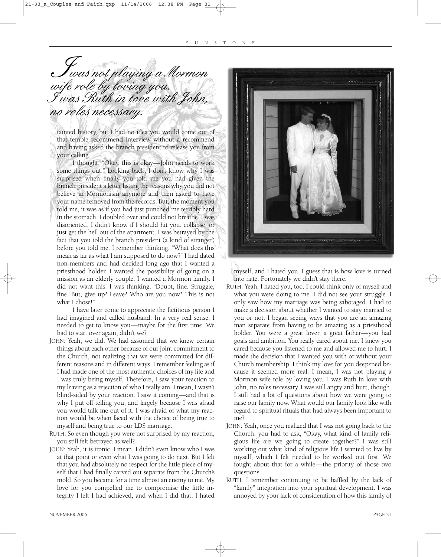**T**was not playing a Mormon<br>vife role by loving you. I was Ruth in love with John, no roles necessary. J<br>ilo

tainted history, but I had no idea you would come out of that temple recommend interview without a recommend and having asked the branch president to release you from your calling.

I thought, "Okay, this is okay—John needs to work some things out." Looking back, I don't know why I was surprised when finally you told me you had given the branch president a letter listing the reasons why you did not believe in Mormonism anymore and then asked to have your name removed from the records. But, the moment you told me, it was as if you had just punched me terribly hard in the stomach. I doubled over and could not breathe. I was disoriented, I didn't know if I should hit you, collapse, or just get the hell out of the apartment. I was betrayed by the fact that you told the branch president (a kind of stranger) before you told me. I remember thinking, "What does this mean as far as what I am supposed to do now?" I had dated non-members and had decided long ago that I wanted a priesthood holder. I wanted the possibility of going on a mission as an elderly couple. I wanted a Mormon family. I did not want this! I was thinking, "Doubt, fine. Struggle, fine. But, give up? Leave? Who are you now? This is not what I chose!"

I have later come to appreciate the fictitious person I had imagined and called husband. In a very real sense, I needed to get to know you—maybe for the first time. We had to start over again, didn't we?

- JOHN: Yeah, we did. We had assumed that we knew certain things about each other because of our joint commitment to the Church, not realizing that we were committed for different reasons and in different ways. I remember feeling as if I had made one of the most authentic choices of my life and I was truly being myself. Therefore, I saw your reaction to my leaving as a rejection of who I really am. I mean, I wasn't blind-sided by your reaction. I saw it coming—and that is why I put off telling you, and largely because I was afraid you would talk me out of it. I was afraid of what my reaction would be when faced with the choice of being true to myself and being true to our LDS marriage.
- RUTH: So even though you were not surprised by my reaction, you still felt betrayed as well?
- JOHN: Yeah, it is ironic. I mean, I didn't even know who I was at that point or even what I was going to do next. But I felt that you had absolutely no respect for the little piece of myself that I had finally carved out separate from the Church's mold. So you became for a time almost an enemy to me. My love for you compelled me to compromise the little integrity I felt I had achieved, and when I did that, I hated

![](_page_10_Picture_8.jpeg)

myself, and I hated you. I guess that is how love is turned into hate. Fortunately we didn't stay there.

- RUTH: Yeah, I hated you, too. I could think only of myself and what you were doing to me. I did not see your struggle. I only saw how my marriage was being sabotaged. I had to make a decision about whether I wanted to stay married to you or not. I began seeing ways that you are an amazing man separate from having to be amazing as a priesthood holder. You were a great lover, a great father—you had goals and ambition. You really cared about me. I knew you cared because you listened to me and allowed me to hurt. I made the decision that I wanted you with or without your Church membership. I think my love for you deepened because it seemed more real. I mean, I was not playing a Mormon wife role by loving you. I was Ruth in love with John, no roles necessary. I was still angry and hurt, though. I still had a lot of questions about how we were going to raise our family now. What would our family look like with regard to spiritual rituals that had always been important to me?
- JOHN: Yeah, once you realized that I was not going back to the Church, you had to ask, "Okay, what kind of family religious life are we going to create together?" I was still working out what kind of religious life I wanted to live by myself, which I felt needed to be worked out first. We fought about that for a while—the priority of those two questions.
- RUTH: I remember continuing to be baffled by the lack of "family" integration into your spiritual development. I was annoyed by your lack of consideration of how this family of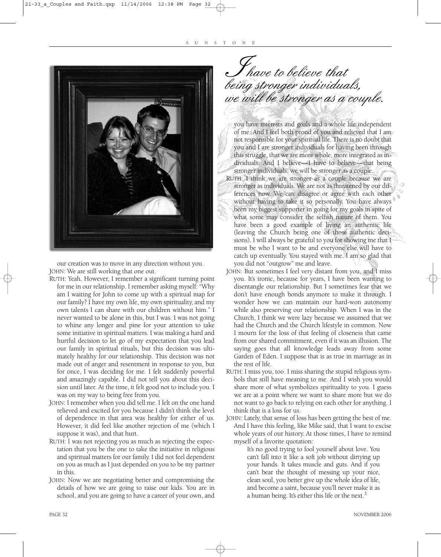![](_page_11_Picture_1.jpeg)

our creation was to move in any direction without you. JOHN: We are still working that one out.

- RUTH: Yeah. However, I remember a significant turning point for me in our relationship. I remember asking myself: "Why am I waiting for John to come up with a spiritual map for our family? I have my own life, my own spirituality, and my own talents I can share with our children without him." I never wanted to be alone in this, but I was. I was not going to whine any longer and pine for your attention to take some initiative in spiritual matters. I was making a hard and hurtful decision to let go of my expectation that you lead our family in spiritual rituals, but this decision was ultimately healthy for our relationship. This decision was not made out of anger and resentment in response to you, but for once, I was deciding for me. I felt suddenly powerful and amazingly capable. I did not tell you about this decision until later. At the time, it felt good not to include you. I was on my way to being free from you.
- JOHN: I remember when you did tell me. I felt on the one hand relieved and excited for you because I didn't think the level of dependence in that area was healthy for either of us. However, it did feel like another rejection of me (which I suppose it was), and that hurt.
- RUTH: I was not rejecting you as much as rejecting the expectation that you be the one to take the initiative in religious and spiritual matters for our family. I did not feel dependent on you as much as I just depended on you to be my partner in this.
- JOHN: Now we are negotiating better and compromising the details of how we are going to raise our kids. You are in school, and you are going to have a career of your own, and

have to believe that being stronger individuals, we will be stronger as a couple. J<br>Princ

you have interests and goals and a whole life independent of me. And I feel both proud of you and relieved that I am not responsible for your spiritual life. There is no doubt that you and I are stronger individuals for having been through this struggle, that we are more whole, more integrated as individuals. And I believe—I have to believe—that being stronger individuals, we will be stronger as a couple. RUTH: I think we are stronger as a couple because we are stronger as individuals. We are not as threatened by our differences now. We can disagree or agree with each other without having to take it so personally. You have always been my biggest supporter in going for my goals in spite of what some may consider the selfish nature of them. You

- have been a good example of living an authentic life (leaving the Church being one of those authentic decisions). I will always be grateful to you for showing me that I must be who I want to be and everyone else will have to catch up eventually. You stayed with me. I am so glad that you did not "outgrow" me and leave.
- JOHN: But sometimes I feel very distant from you, and I miss you. It's ironic, because for years, I have been wanting to disentangle our relationship. But I sometimes fear that we don't have enough bonds anymore to make it through. I wonder how we can maintain our hard-won autonomy while also preserving our relationship. When I was in the Church, I think we were lazy because we assumed that we had the Church and the Church lifestyle in common. Now I mourn for the loss of that feeling of closeness that came from our shared commitment, even if it was an illusion. The saying goes that all knowledge leads away from some Garden of Eden. I suppose that is as true in marriage as in the rest of life.
- RUTH: I miss you, too. I miss sharing the stupid religious symbols that still have meaning to me. And I wish you would share more of what symbolizes spirituality to you. I guess we are at a point where we want to share more but we do not want to go back to relying on each other for anything. I think that is a loss for us.
- JOHN: Lately, that sense of loss has been getting the best of me. And I have this feeling, like Mike said, that I want to excise whole years of our history. At those times, I have to remind myself of a favorite quotation:

It's no good trying to fool yourself about love. You can't fall into it like a soft job without dirtying up your hands. It takes muscle and guts. And if you can't bear the thought of messing up your nice, clean soul, you better give up the whole idea of life, and become a saint, because you'll never make it as a human being. It's either this life or the next.<sup>3</sup>